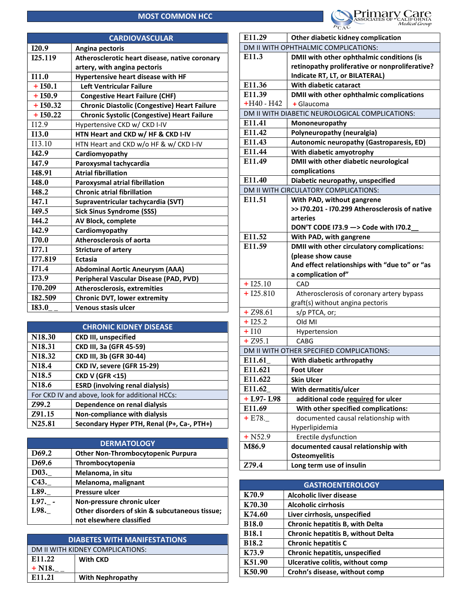## MOST COMMON HCC

|               | <b>CARDIOVASCULAR</b>                               |
|---------------|-----------------------------------------------------|
| I20.9         | Angina pectoris                                     |
| I25.119       | Atherosclerotic heart disease, native coronary      |
|               | artery, with angina pectoris                        |
| I11.0         | Hypertensive heart disease with HF                  |
| $+150.1$      | Left Ventricular Failure                            |
| $+150.9$      | <b>Congestive Heart Failure (CHF)</b>               |
| $+ I50.32$    | <b>Chronic Diastolic (Congestive) Heart Failure</b> |
| $+150.22$     | <b>Chronic Systolic (Congestive) Heart Failure</b>  |
| I12.9         | Hypertensive CKD w/ CKD I-IV                        |
| <b>I13.0</b>  | HTN Heart and CKD w/ HF & CKD I-IV                  |
| 113.10        | HTN Heart and CKD w/o HF & w/ CKD I-IV              |
| I42.9         | Cardiomyopathy                                      |
| I47.9         | Paroxysmal tachycardia                              |
| <b>I48.91</b> | <b>Atrial fibrillation</b>                          |
| <b>I48.0</b>  | Paroxysmal atrial fibrillation                      |
| I48.2         | <b>Chronic atrial fibrillation</b>                  |
| I47.1         | Supraventricular tachycardia (SVT)                  |
| I49.5         | <b>Sick Sinus Syndrome (SSS)</b>                    |
| I44.2         | AV Block, complete                                  |
| I42.9         | Cardiomyopathy                                      |
| <b>I70.0</b>  | <b>Atherosclerosis of aorta</b>                     |
| I77.1         | <b>Stricture of artery</b>                          |
| I77.819       | <b>Ectasia</b>                                      |
| I71.4         | <b>Abdominal Aortic Aneurysm (AAA)</b>              |
| I73.9         | Peripheral Vascular Disease (PAD, PVD)              |
| I70.209       | <b>Atherosclerosis, extremities</b>                 |
| 182.509       | <b>Chronic DVT, lower extremity</b>                 |
| <b>I83.0</b>  | <b>Venous stasis ulcer</b>                          |

| <b>CHRONIC KIDNEY DISEASE</b>                   |                                            |
|-------------------------------------------------|--------------------------------------------|
| N <sub>18.30</sub>                              | <b>CKD III, unspecified</b>                |
| N18.31                                          | CKD III, 3a (GFR 45-59)                    |
| N <sub>18.32</sub>                              | CKD III, 3b (GFR 30-44)                    |
| N <sub>18.4</sub>                               | CKD IV, severe (GFR 15-29)                 |
| N <sub>18.5</sub>                               | <b>CKD V (GFR &lt;15)</b>                  |
| N <sub>18.6</sub>                               | <b>ESRD</b> (involving renal dialysis)     |
| For CKD IV and above, look for additional HCCs: |                                            |
| Z99.2                                           | Dependence on renal dialysis               |
| Z91.15                                          | Non-compliance with dialysis               |
| N25.81                                          | Secondary Hyper PTH, Renal (P+, Ca-, PTH+) |

| <b>DERMATOLOGY</b> |                                                |
|--------------------|------------------------------------------------|
| D <sub>69.2</sub>  | <b>Other Non-Thrombocytopenic Purpura</b>      |
| D <sub>69.6</sub>  | Thrombocytopenia                               |
| D03.               | Melanoma, in situ                              |
| C43.               | Melanoma, malignant                            |
| L89.               | <b>Pressure ulcer</b>                          |
| L97.               | Non-pressure chronic ulcer                     |
| L98.               | Other disorders of skin & subcutaneous tissue; |
|                    | not elsewhere classified                       |

| <b>DIABETES WITH MANIFESTATIONS</b> |                         |
|-------------------------------------|-------------------------|
| DM II WITH KIDNEY COMPLICATIONS:    |                         |
| E11.22                              | <b>With CKD</b>         |
| $+$ N18.                            |                         |
| E <sub>11.21</sub>                  | <b>With Nephropathy</b> |



|              | DM II WITH OPHTHALMIC COMPLICATIONS:            |  |
|--------------|-------------------------------------------------|--|
| E11.3        | DMII with other ophthalmic conditions (is       |  |
|              | retinopathy proliferative or nonproliferative?  |  |
|              | Indicate RT, LT, or BILATERAL)                  |  |
| E11.36       | With diabetic cataract                          |  |
| E11.39       | DMII with other ophthalmic complications        |  |
| $+H40 - H42$ | + Glaucoma                                      |  |
|              | DM II WITH DIABETIC NEUROLOGICAL COMPLICATIONS: |  |
| E11.41       | Mononeuropathy                                  |  |
| E11.42       | Polyneuropathy (neuralgia)                      |  |
| E11.43       | Autonomic neuropathy (Gastroparesis, ED)        |  |
| E11.44       | With diabetic amyotrophy                        |  |
| E11.49       | DMII with other diabetic neurological           |  |
|              | complications                                   |  |
| E11.40       | Diabetic neuropathy, unspecified                |  |
|              | DM II WITH CIRCULATORY COMPLICATIONS:           |  |
| E11.51       | With PAD, without gangrene                      |  |
|              | >> I70.201 - I70.299 Atherosclerosis of native  |  |
|              | arteries                                        |  |
|              | DON'T CODE 173.9 -> Code with 170.2             |  |
| E11.52       | With PAD, with gangrene                         |  |
| E11.59       | DMII with other circulatory complications:      |  |
|              | (please show cause                              |  |
|              |                                                 |  |
|              | And effect relationships with "due to" or "as   |  |
|              | a complication of"                              |  |
| $+ I25.10$   | CAD                                             |  |
| $+ I25.810$  | Atherosclerosis of coronary artery bypass       |  |
|              | graft(s) without angina pectoris                |  |
| $+ 298.61$   | s/p PTCA, or;                                   |  |
| $+ I25.2$    | Old MI                                          |  |
| $+110$       | Hypertension                                    |  |
| $+ 295.1$    | CABG                                            |  |
|              | DM II WITH OTHER SPECIFIED COMPLICATIONS:       |  |
| E11.61       | With diabetic arthropathy                       |  |
| E11.621      | <b>Foot Ulcer</b>                               |  |
| E11.622      | <b>Skin Ulcer</b>                               |  |
| E11.62       | With dermatitis/ulcer                           |  |
| $+$ L97-L98  | additional code required for ulcer              |  |
| E11.69       | With other specified complications:             |  |
| $+ E78.$     | documented causal relationship with             |  |
|              | Hyperlipidemia                                  |  |
| $+$ N52.9    | Erectile dysfunction                            |  |
| M86.9        | documented causal relationship with             |  |
|              | <b>Osteomyelitis</b>                            |  |

| <b>GASTROENTEROLOGY</b> |                                       |
|-------------------------|---------------------------------------|
| K70.9                   | <b>Alcoholic liver disease</b>        |
| K70.30                  | <b>Alcoholic cirrhosis</b>            |
| K74.60                  | Liver cirrhosis, unspecified          |
| <b>B18.0</b>            | Chronic hepatitis B, with Delta       |
| <b>B18.1</b>            | Chronic hepatitis B, without Delta    |
| <b>B18.2</b>            | <b>Chronic hepatitis C</b>            |
| K73.9                   | <b>Chronic hepatitis, unspecified</b> |
| K51.90                  | Ulcerative colitis, without comp      |
| K50.90                  | Crohn's disease, without comp         |